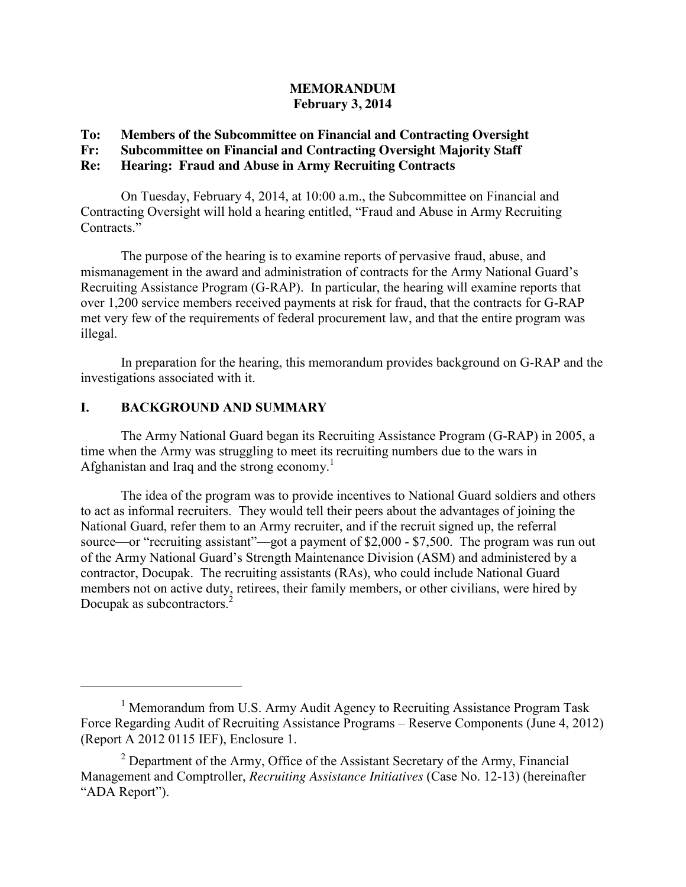#### **MEMORANDUM February 3, 2014**

#### **To: Members of the Subcommittee on Financial and Contracting Oversight**

# **Fr: Subcommittee on Financial and Contracting Oversight Majority Staff**

### **Re: Hearing: Fraud and Abuse in Army Recruiting Contracts**

On Tuesday, February 4, 2014, at 10:00 a.m., the Subcommittee on Financial and Contracting Oversight will hold a hearing entitled, "Fraud and Abuse in Army Recruiting Contracts."

The purpose of the hearing is to examine reports of pervasive fraud, abuse, and mismanagement in the award and administration of contracts for the Army National Guard's Recruiting Assistance Program (G-RAP). In particular, the hearing will examine reports that over 1,200 service members received payments at risk for fraud, that the contracts for G-RAP met very few of the requirements of federal procurement law, and that the entire program was illegal.

In preparation for the hearing, this memorandum provides background on G-RAP and the investigations associated with it.

## **I. BACKGROUND AND SUMMARY**

 $\overline{a}$ 

The Army National Guard began its Recruiting Assistance Program (G-RAP) in 2005, a time when the Army was struggling to meet its recruiting numbers due to the wars in Afghanistan and Iraq and the strong economy. 1

The idea of the program was to provide incentives to National Guard soldiers and others to act as informal recruiters. They would tell their peers about the advantages of joining the National Guard, refer them to an Army recruiter, and if the recruit signed up, the referral source—or "recruiting assistant"—got a payment of \$2,000 - \$7,500. The program was run out of the Army National Guard's Strength Maintenance Division (ASM) and administered by a contractor, Docupak. The recruiting assistants (RAs), who could include National Guard members not on active duty, retirees, their family members, or other civilians, were hired by Docupak as subcontractors.<sup>2</sup>

<sup>&</sup>lt;sup>1</sup> Memorandum from U.S. Army Audit Agency to Recruiting Assistance Program Task Force Regarding Audit of Recruiting Assistance Programs – Reserve Components (June 4, 2012) (Report A 2012 0115 IEF), Enclosure 1.

 $2$  Department of the Army, Office of the Assistant Secretary of the Army, Financial Management and Comptroller, *Recruiting Assistance Initiatives* (Case No. 12-13) (hereinafter "ADA Report").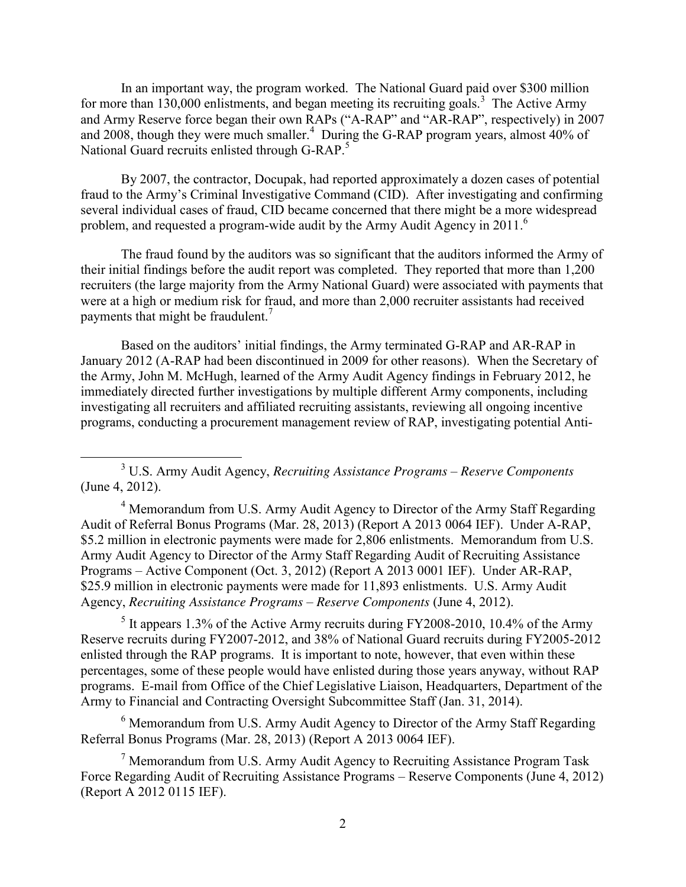In an important way, the program worked. The National Guard paid over \$300 million for more than  $130,000$  enlistments, and began meeting its recruiting goals.<sup>3</sup> The Active Army and Army Reserve force began their own RAPs ("A-RAP" and "AR-RAP", respectively) in 2007 and 2008, though they were much smaller.<sup>4</sup> During the G-RAP program years, almost 40% of National Guard recruits enlisted through G-RAP.<sup>5</sup>

By 2007, the contractor, Docupak, had reported approximately a dozen cases of potential fraud to the Army's Criminal Investigative Command (CID). After investigating and confirming several individual cases of fraud, CID became concerned that there might be a more widespread problem, and requested a program-wide audit by the Army Audit Agency in 2011.<sup>6</sup>

The fraud found by the auditors was so significant that the auditors informed the Army of their initial findings before the audit report was completed. They reported that more than 1,200 recruiters (the large majority from the Army National Guard) were associated with payments that were at a high or medium risk for fraud, and more than 2,000 recruiter assistants had received payments that might be fraudulent. $<sup>7</sup>$ </sup>

Based on the auditors' initial findings, the Army terminated G-RAP and AR-RAP in January 2012 (A-RAP had been discontinued in 2009 for other reasons). When the Secretary of the Army, John M. McHugh, learned of the Army Audit Agency findings in February 2012, he immediately directed further investigations by multiple different Army components, including investigating all recruiters and affiliated recruiting assistants, reviewing all ongoing incentive programs, conducting a procurement management review of RAP, investigating potential Anti-

 $4$  Memorandum from U.S. Army Audit Agency to Director of the Army Staff Regarding Audit of Referral Bonus Programs (Mar. 28, 2013) (Report A 2013 0064 IEF). Under A-RAP, \$5.2 million in electronic payments were made for 2,806 enlistments. Memorandum from U.S. Army Audit Agency to Director of the Army Staff Regarding Audit of Recruiting Assistance Programs – Active Component (Oct. 3, 2012) (Report A 2013 0001 IEF). Under AR-RAP, \$25.9 million in electronic payments were made for 11,893 enlistments. U.S. Army Audit Agency, *Recruiting Assistance Programs – Reserve Components* (June 4, 2012).

 $<sup>5</sup>$  It appears 1.3% of the Active Army recruits during FY2008-2010, 10.4% of the Army</sup> Reserve recruits during FY2007-2012, and 38% of National Guard recruits during FY2005-2012 enlisted through the RAP programs. It is important to note, however, that even within these percentages, some of these people would have enlisted during those years anyway, without RAP programs. E-mail from Office of the Chief Legislative Liaison, Headquarters, Department of the Army to Financial and Contracting Oversight Subcommittee Staff (Jan. 31, 2014).

<sup>6</sup> Memorandum from U.S. Army Audit Agency to Director of the Army Staff Regarding Referral Bonus Programs (Mar. 28, 2013) (Report A 2013 0064 IEF).

<sup>7</sup> Memorandum from U.S. Army Audit Agency to Recruiting Assistance Program Task Force Regarding Audit of Recruiting Assistance Programs – Reserve Components (June 4, 2012) (Report A 2012 0115 IEF).

 <sup>3</sup> U.S. Army Audit Agency, *Recruiting Assistance Programs – Reserve Components* (June 4, 2012).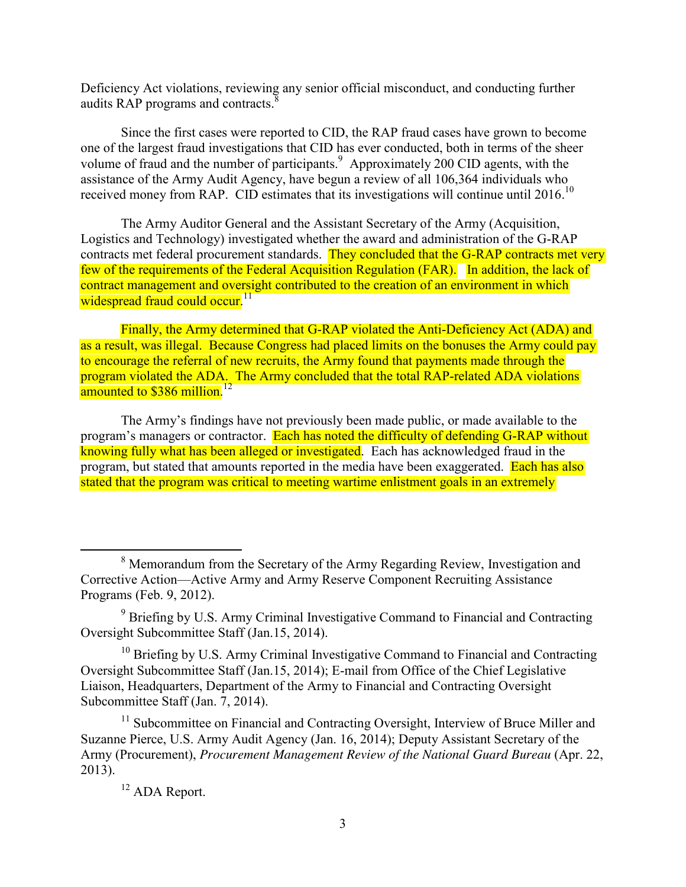Deficiency Act violations, reviewing any senior official misconduct, and conducting further audits RAP programs and contracts.<sup>8</sup>

Since the first cases were reported to CID, the RAP fraud cases have grown to become one of the largest fraud investigations that CID has ever conducted, both in terms of the sheer volume of fraud and the number of participants.<sup>9</sup> Approximately 200 CID agents, with the assistance of the Army Audit Agency, have begun a review of all 106,364 individuals who received money from RAP. CID estimates that its investigations will continue until 2016.<sup>10</sup>

The Army Auditor General and the Assistant Secretary of the Army (Acquisition, Logistics and Technology) investigated whether the award and administration of the G-RAP contracts met federal procurement standards. They concluded that the G-RAP contracts met very few of the requirements of the Federal Acquisition Regulation (FAR). In addition, the lack of contract management and oversight contributed to the creation of an environment in which widespread fraud could occur.<sup>11</sup>

Finally, the Army determined that G-RAP violated the Anti-Deficiency Act (ADA) and as a result, was illegal. Because Congress had placed limits on the bonuses the Army could pay to encourage the referral of new recruits, the Army found that payments made through the program violated the ADA. The Army concluded that the total RAP-related ADA violations amounted to  $$386$  million.<sup>12</sup>

The Army's findings have not previously been made public, or made available to the program's managers or contractor. Each has noted the difficulty of defending G-RAP without knowing fully what has been alleged or investigated. Each has acknowledged fraud in the program, but stated that amounts reported in the media have been exaggerated. Each has also stated that the program was critical to meeting wartime enlistment goals in an extremely

 $10$  Briefing by U.S. Army Criminal Investigative Command to Financial and Contracting Oversight Subcommittee Staff (Jan.15, 2014); E-mail from Office of the Chief Legislative Liaison, Headquarters, Department of the Army to Financial and Contracting Oversight Subcommittee Staff (Jan. 7, 2014).

<sup>11</sup> Subcommittee on Financial and Contracting Oversight, Interview of Bruce Miller and Suzanne Pierce, U.S. Army Audit Agency (Jan. 16, 2014); Deputy Assistant Secretary of the Army (Procurement), *Procurement Management Review of the National Guard Bureau* (Apr. 22, 2013).

<sup>&</sup>lt;sup>8</sup> Memorandum from the Secretary of the Army Regarding Review, Investigation and Corrective Action—Active Army and Army Reserve Component Recruiting Assistance Programs (Feb. 9, 2012).

<sup>&</sup>lt;sup>9</sup> Briefing by U.S. Army Criminal Investigative Command to Financial and Contracting Oversight Subcommittee Staff (Jan.15, 2014).

<sup>&</sup>lt;sup>12</sup> ADA Report.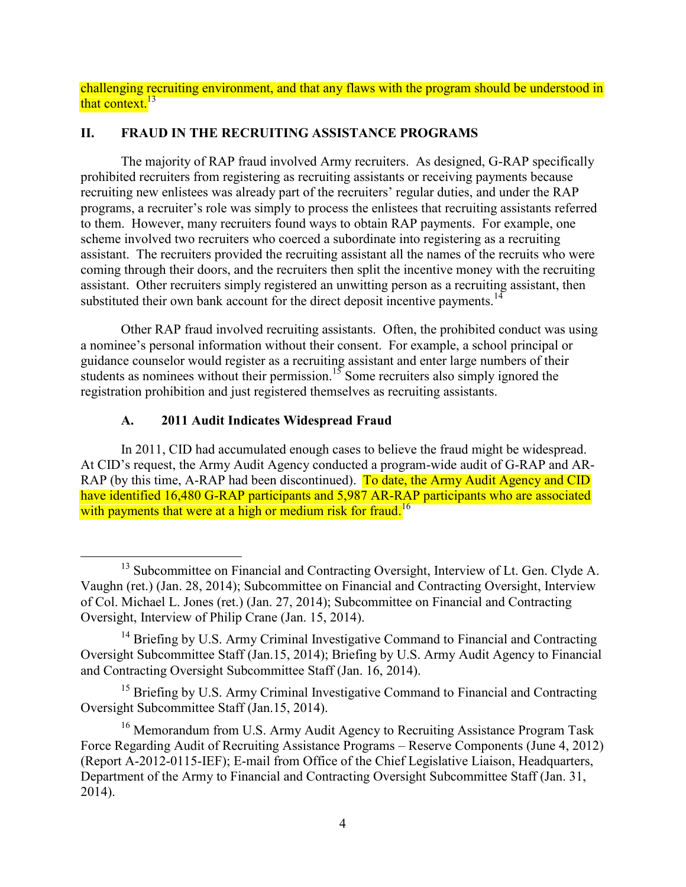challenging recruiting environment, and that any flaws with the program should be understood in that context. $13$ 

## **II. FRAUD IN THE RECRUITING ASSISTANCE PROGRAMS**

The majority of RAP fraud involved Army recruiters. As designed, G-RAP specifically prohibited recruiters from registering as recruiting assistants or receiving payments because recruiting new enlistees was already part of the recruiters' regular duties, and under the RAP programs, a recruiter's role was simply to process the enlistees that recruiting assistants referred to them. However, many recruiters found ways to obtain RAP payments. For example, one scheme involved two recruiters who coerced a subordinate into registering as a recruiting assistant. The recruiters provided the recruiting assistant all the names of the recruits who were coming through their doors, and the recruiters then split the incentive money with the recruiting assistant. Other recruiters simply registered an unwitting person as a recruiting assistant, then substituted their own bank account for the direct deposit incentive payments.<sup>14</sup>

Other RAP fraud involved recruiting assistants. Often, the prohibited conduct was using a nominee's personal information without their consent. For example, a school principal or guidance counselor would register as a recruiting assistant and enter large numbers of their students as nominees without their permission.<sup>15</sup> Some recruiters also simply ignored the registration prohibition and just registered themselves as recruiting assistants.

# **A. 2011 Audit Indicates Widespread Fraud**

In 2011, CID had accumulated enough cases to believe the fraud might be widespread. At CID's request, the Army Audit Agency conducted a program-wide audit of G-RAP and AR-RAP (by this time, A-RAP had been discontinued). To date, the Army Audit Agency and CID have identified 16,480 G-RAP participants and 5,987 AR-RAP participants who are associated with payments that were at a high or medium risk for fraud.<sup>16</sup>

<sup>&</sup>lt;sup>13</sup> Subcommittee on Financial and Contracting Oversight, Interview of Lt. Gen. Clyde A. Vaughn (ret.) (Jan. 28, 2014); Subcommittee on Financial and Contracting Oversight, Interview of Col. Michael L. Jones (ret.) (Jan. 27, 2014); Subcommittee on Financial and Contracting Oversight, Interview of Philip Crane (Jan. 15, 2014).

<sup>&</sup>lt;sup>14</sup> Briefing by U.S. Army Criminal Investigative Command to Financial and Contracting Oversight Subcommittee Staff (Jan.15, 2014); Briefing by U.S. Army Audit Agency to Financial and Contracting Oversight Subcommittee Staff (Jan. 16, 2014).

<sup>&</sup>lt;sup>15</sup> Briefing by U.S. Army Criminal Investigative Command to Financial and Contracting Oversight Subcommittee Staff (Jan.15, 2014).

<sup>&</sup>lt;sup>16</sup> Memorandum from U.S. Army Audit Agency to Recruiting Assistance Program Task Force Regarding Audit of Recruiting Assistance Programs – Reserve Components (June 4, 2012) (Report A-2012-0115-IEF); E-mail from Office of the Chief Legislative Liaison, Headquarters, Department of the Army to Financial and Contracting Oversight Subcommittee Staff (Jan. 31, 2014).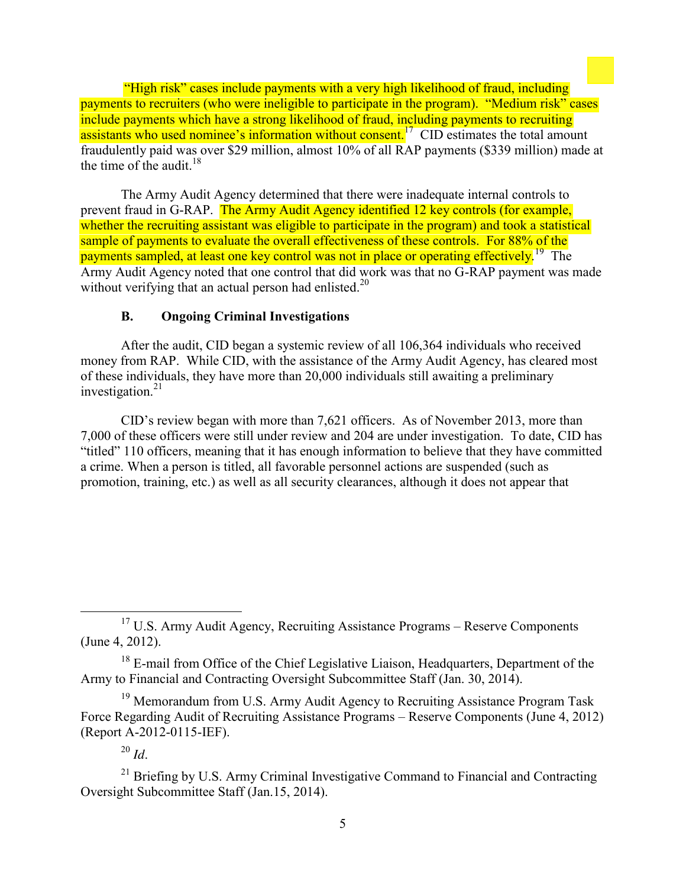"High risk" cases include payments with a very high likelihood of fraud, including payments to recruiters (who were ineligible to participate in the program). "Medium risk" cases include payments which have a strong likelihood of fraud, including payments to recruiting assistants who used nominee's information without consent.<sup>17</sup> CID estimates the total amount fraudulently paid was over \$29 million, almost 10% of all RAP payments (\$339 million) made at the time of the audit. $18$ 

The Army Audit Agency determined that there were inadequate internal controls to prevent fraud in G-RAP. The Army Audit Agency identified 12 key controls (for example, whether the recruiting assistant was eligible to participate in the program) and took a statistical sample of payments to evaluate the overall effectiveness of these controls. For 88% of the payments sampled, at least one key control was not in place or operating effectively.<sup>19</sup> The Army Audit Agency noted that one control that did work was that no G-RAP payment was made without verifying that an actual person had enlisted.<sup>20</sup>

## **B. Ongoing Criminal Investigations**

After the audit, CID began a systemic review of all 106,364 individuals who received money from RAP. While CID, with the assistance of the Army Audit Agency, has cleared most of these individuals, they have more than 20,000 individuals still awaiting a preliminary investigation. $21$ 

CID's review began with more than 7,621 officers. As of November 2013, more than 7,000 of these officers were still under review and 204 are under investigation. To date, CID has "titled" 110 officers, meaning that it has enough information to believe that they have committed a crime. When a person is titled, all favorable personnel actions are suspended (such as promotion, training, etc.) as well as all security clearances, although it does not appear that

 $17$  U.S. Army Audit Agency, Recruiting Assistance Programs – Reserve Components (June 4, 2012).

<sup>&</sup>lt;sup>18</sup> E-mail from Office of the Chief Legislative Liaison, Headquarters, Department of the Army to Financial and Contracting Oversight Subcommittee Staff (Jan. 30, 2014).

<sup>&</sup>lt;sup>19</sup> Memorandum from U.S. Army Audit Agency to Recruiting Assistance Program Task Force Regarding Audit of Recruiting Assistance Programs – Reserve Components (June 4, 2012) (Report A-2012-0115-IEF).

 $^{20}$  *Id*.

<sup>&</sup>lt;sup>21</sup> Briefing by U.S. Army Criminal Investigative Command to Financial and Contracting Oversight Subcommittee Staff (Jan.15, 2014).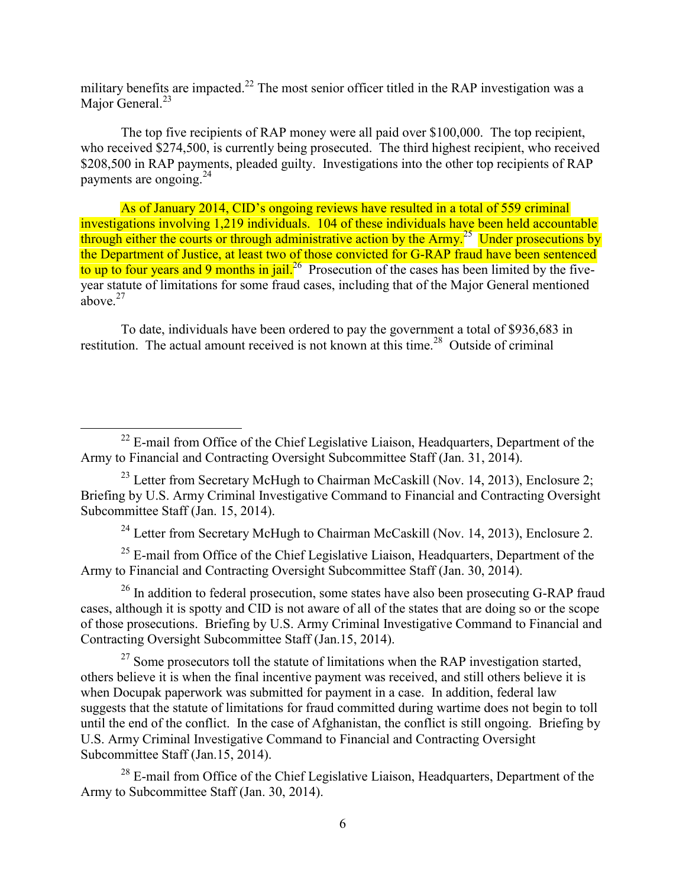military benefits are impacted.<sup>22</sup> The most senior officer titled in the RAP investigation was a Major General.<sup>23</sup>

The top five recipients of RAP money were all paid over \$100,000. The top recipient, who received \$274,500, is currently being prosecuted. The third highest recipient, who received \$208,500 in RAP payments, pleaded guilty. Investigations into the other top recipients of RAP payments are ongoing.<sup>24</sup>

As of January 2014, CID's ongoing reviews have resulted in a total of 559 criminal investigations involving 1,219 individuals. 104 of these individuals have been held accountable through either the courts or through administrative action by the Army.<sup>25</sup> Under prosecutions by the Department of Justice, at least two of those convicted for G-RAP fraud have been sentenced to up to four years and 9 months in jail.<sup>26</sup> Prosecution of the cases has been limited by the fiveyear statute of limitations for some fraud cases, including that of the Major General mentioned above. 27

To date, individuals have been ordered to pay the government a total of \$936,683 in restitution. The actual amount received is not known at this time.<sup>28</sup> Outside of criminal

<sup>24</sup> Letter from Secretary McHugh to Chairman McCaskill (Nov. 14, 2013), Enclosure 2.

 $25$  E-mail from Office of the Chief Legislative Liaison, Headquarters, Department of the Army to Financial and Contracting Oversight Subcommittee Staff (Jan. 30, 2014).

 $26$  In addition to federal prosecution, some states have also been prosecuting G-RAP fraud cases, although it is spotty and CID is not aware of all of the states that are doing so or the scope of those prosecutions. Briefing by U.S. Army Criminal Investigative Command to Financial and Contracting Oversight Subcommittee Staff (Jan.15, 2014).

 $27$  Some prosecutors toll the statute of limitations when the RAP investigation started, others believe it is when the final incentive payment was received, and still others believe it is when Docupak paperwork was submitted for payment in a case. In addition, federal law suggests that the statute of limitations for fraud committed during wartime does not begin to toll until the end of the conflict. In the case of Afghanistan, the conflict is still ongoing. Briefing by U.S. Army Criminal Investigative Command to Financial and Contracting Oversight Subcommittee Staff (Jan.15, 2014).

<sup>28</sup> E-mail from Office of the Chief Legislative Liaison, Headquarters, Department of the Army to Subcommittee Staff (Jan. 30, 2014).

 $^{22}$  E-mail from Office of the Chief Legislative Liaison, Headquarters, Department of the Army to Financial and Contracting Oversight Subcommittee Staff (Jan. 31, 2014).

<sup>&</sup>lt;sup>23</sup> Letter from Secretary McHugh to Chairman McCaskill (Nov. 14, 2013), Enclosure 2; Briefing by U.S. Army Criminal Investigative Command to Financial and Contracting Oversight Subcommittee Staff (Jan. 15, 2014).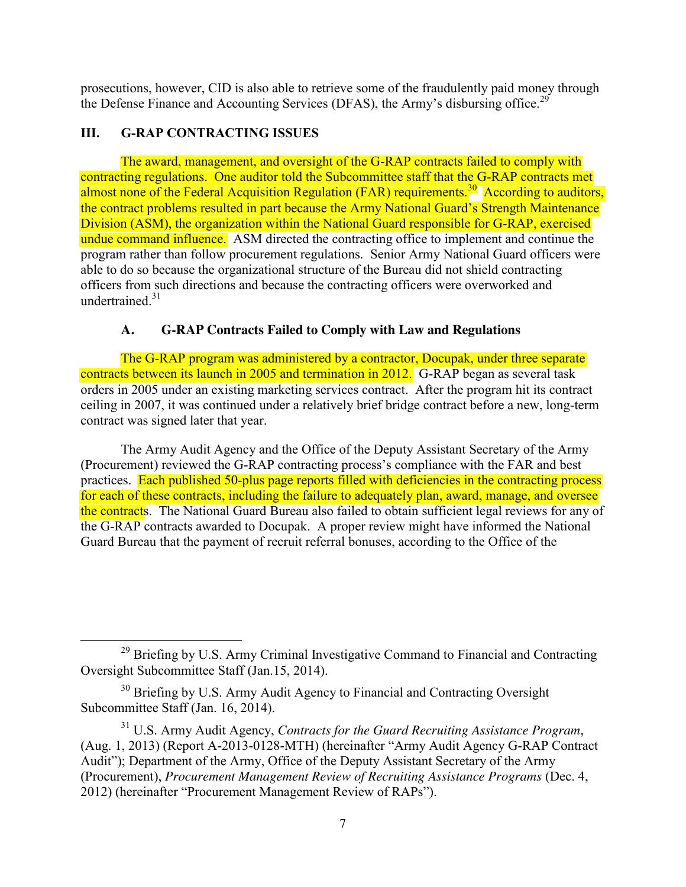prosecutions, however, CID is also able to retrieve some of the fraudulently paid money through the Defense Finance and Accounting Services (DFAS), the Army's disbursing office.<sup>29</sup>

# **III. G-RAP CONTRACTING ISSUES**

The award, management, and oversight of the G-RAP contracts failed to comply with contracting regulations. One auditor told the Subcommittee staff that the G-RAP contracts met almost none of the Federal Acquisition Regulation (FAR) requirements.<sup>30</sup> According to auditors, the contract problems resulted in part because the Army National Guard's Strength Maintenance Division (ASM), the organization within the National Guard responsible for G-RAP, exercised undue command influence. ASM directed the contracting office to implement and continue the program rather than follow procurement regulations. Senior Army National Guard officers were able to do so because the organizational structure of the Bureau did not shield contracting officers from such directions and because the contracting officers were overworked and undertrained. $31$ 

# **A. G-RAP Contracts Failed to Comply with Law and Regulations**

The G-RAP program was administered by a contractor, Docupak, under three separate contracts between its launch in 2005 and termination in 2012. G-RAP began as several task orders in 2005 under an existing marketing services contract. After the program hit its contract ceiling in 2007, it was continued under a relatively brief bridge contract before a new, long-term contract was signed later that year.

The Army Audit Agency and the Office of the Deputy Assistant Secretary of the Army (Procurement) reviewed the G-RAP contracting process's compliance with the FAR and best practices. Each published 50-plus page reports filled with deficiencies in the contracting process for each of these contracts, including the failure to adequately plan, award, manage, and oversee the contracts. The National Guard Bureau also failed to obtain sufficient legal reviews for any of the G-RAP contracts awarded to Docupak. A proper review might have informed the National Guard Bureau that the payment of recruit referral bonuses, according to the Office of the

<sup>&</sup>lt;sup>29</sup> Briefing by U.S. Army Criminal Investigative Command to Financial and Contracting Oversight Subcommittee Staff (Jan.15, 2014).

<sup>&</sup>lt;sup>30</sup> Briefing by U.S. Army Audit Agency to Financial and Contracting Oversight Subcommittee Staff (Jan. 16, 2014).

<sup>31</sup> U.S. Army Audit Agency, *Contracts for the Guard Recruiting Assistance Program*, (Aug. 1, 2013) (Report A-2013-0128-MTH) (hereinafter "Army Audit Agency G-RAP Contract Audit"); Department of the Army, Office of the Deputy Assistant Secretary of the Army (Procurement), *Procurement Management Review of Recruiting Assistance Programs* (Dec. 4, 2012) (hereinafter "Procurement Management Review of RAPs").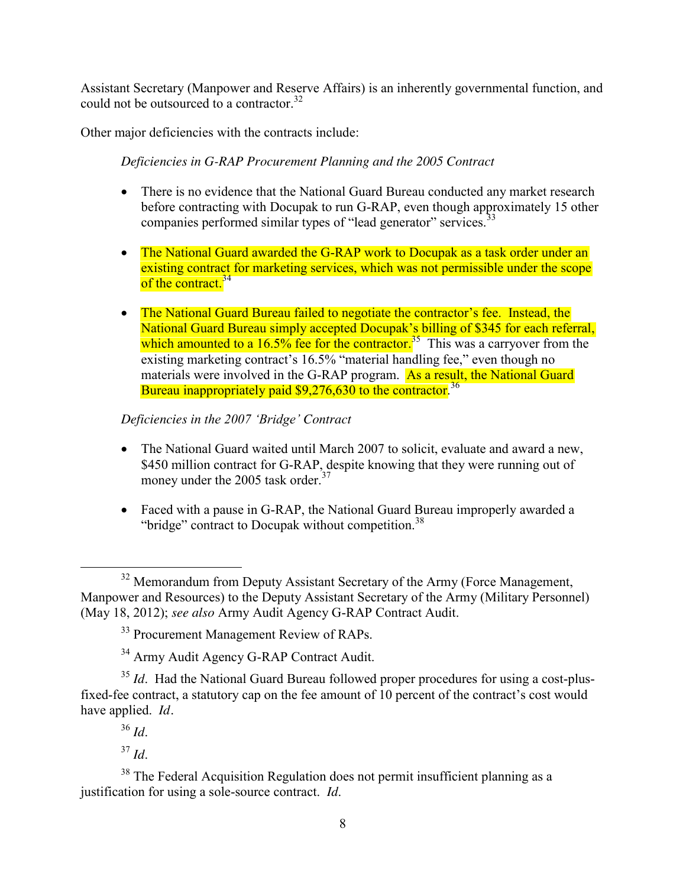Assistant Secretary (Manpower and Reserve Affairs) is an inherently governmental function, and could not be outsourced to a contractor.<sup>32</sup>

Other major deficiencies with the contracts include:

*Deficiencies in G-RAP Procurement Planning and the 2005 Contract* 

- There is no evidence that the National Guard Bureau conducted any market research before contracting with Docupak to run G-RAP, even though approximately 15 other companies performed similar types of "lead generator" services.<sup>33</sup>
- The National Guard awarded the G-RAP work to Docupak as a task order under an existing contract for marketing services, which was not permissible under the scope of the contract.<sup>34</sup>
- The National Guard Bureau failed to negotiate the contractor's fee. Instead, the National Guard Bureau simply accepted Docupak's billing of \$345 for each referral, which amounted to a  $16.5\%$  fee for the contractor.<sup>35</sup> This was a carryover from the existing marketing contract's 16.5% "material handling fee," even though no materials were involved in the G-RAP program. As a result, the National Guard Bureau inappropriately paid  $$9.276.630$  to the contractor.<sup>36</sup>

*Deficiencies in the 2007 'Bridge' Contract* 

- The National Guard waited until March 2007 to solicit, evaluate and award a new, \$450 million contract for G-RAP, despite knowing that they were running out of money under the 2005 task order.<sup>37</sup>
- Faced with a pause in G-RAP, the National Guard Bureau improperly awarded a "bridge" contract to Docupak without competition.<sup>38</sup>

<sup>37</sup> *Id*.

<sup>38</sup> The Federal Acquisition Regulation does not permit insufficient planning as a justification for using a sole-source contract. *Id*.

<sup>&</sup>lt;sup>32</sup> Memorandum from Deputy Assistant Secretary of the Army (Force Management, Manpower and Resources) to the Deputy Assistant Secretary of the Army (Military Personnel) (May 18, 2012); *see also* Army Audit Agency G-RAP Contract Audit.

<sup>&</sup>lt;sup>33</sup> Procurement Management Review of RAPs.

<sup>&</sup>lt;sup>34</sup> Army Audit Agency G-RAP Contract Audit.

<sup>&</sup>lt;sup>35</sup> *Id.* Had the National Guard Bureau followed proper procedures for using a cost-plusfixed-fee contract, a statutory cap on the fee amount of 10 percent of the contract's cost would have applied. *Id.* 

<sup>36</sup> *Id*.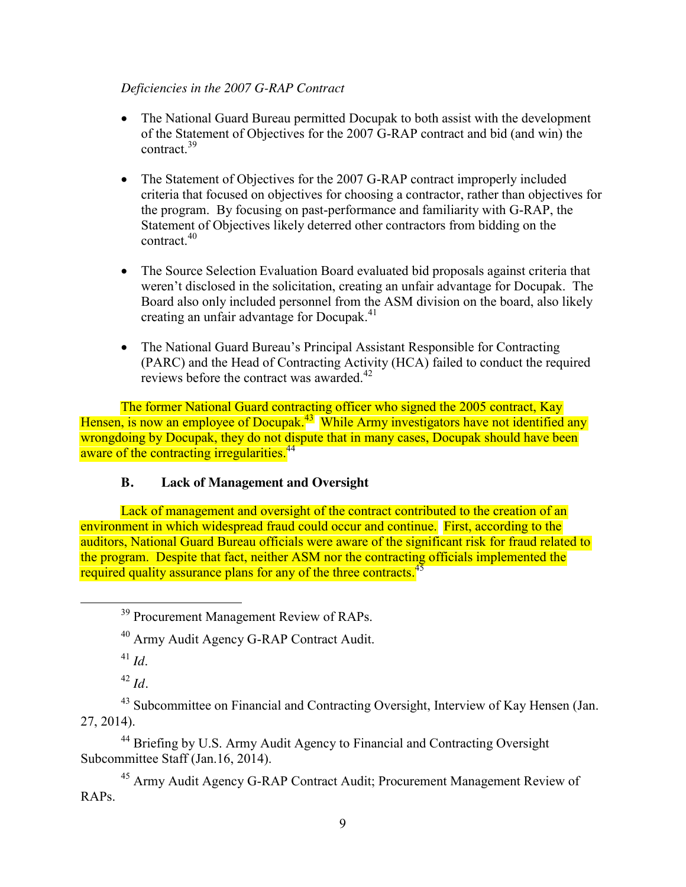## *Deficiencies in the 2007 G-RAP Contract*

- The National Guard Bureau permitted Docupak to both assist with the development of the Statement of Objectives for the 2007 G-RAP contract and bid (and win) the contract. 39
- The Statement of Objectives for the 2007 G-RAP contract improperly included criteria that focused on objectives for choosing a contractor, rather than objectives for the program. By focusing on past-performance and familiarity with G-RAP, the Statement of Objectives likely deterred other contractors from bidding on the contract. $40$
- The Source Selection Evaluation Board evaluated bid proposals against criteria that weren't disclosed in the solicitation, creating an unfair advantage for Docupak. The Board also only included personnel from the ASM division on the board, also likely creating an unfair advantage for Docupak.<sup>41</sup>
- The National Guard Bureau's Principal Assistant Responsible for Contracting (PARC) and the Head of Contracting Activity (HCA) failed to conduct the required reviews before the contract was awarded.<sup>42</sup>

The former National Guard contracting officer who signed the 2005 contract, Kay Hensen, is now an employee of Docupak.<sup>43</sup> While Army investigators have not identified any wrongdoing by Docupak, they do not dispute that in many cases, Docupak should have been aware of the contracting irregularities.<sup>44</sup>

## **B. Lack of Management and Oversight**

Lack of management and oversight of the contract contributed to the creation of an environment in which widespread fraud could occur and continue. First, according to the auditors, National Guard Bureau officials were aware of the significant risk for fraud related to the program. Despite that fact, neither ASM nor the contracting officials implemented the required quality assurance plans for any of the three contracts.<sup>45</sup>

<sup>44</sup> Briefing by U.S. Army Audit Agency to Financial and Contracting Oversight Subcommittee Staff (Jan.16, 2014).

<sup>45</sup> Army Audit Agency G-RAP Contract Audit; Procurement Management Review of RAPs.

<sup>&</sup>lt;sup>39</sup> Procurement Management Review of RAPs.

<sup>40</sup> Army Audit Agency G-RAP Contract Audit.

 $^{41}$  *Id*.

 $^{42}$  *Id.* 

<sup>&</sup>lt;sup>43</sup> Subcommittee on Financial and Contracting Oversight, Interview of Kay Hensen (Jan. 27, 2014).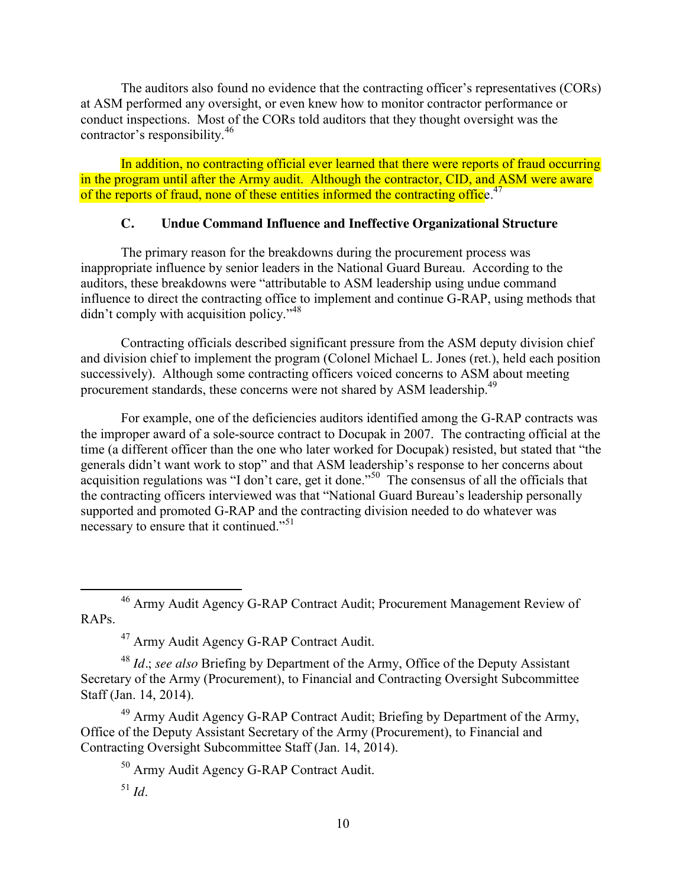The auditors also found no evidence that the contracting officer's representatives (CORs) at ASM performed any oversight, or even knew how to monitor contractor performance or conduct inspections. Most of the CORs told auditors that they thought oversight was the contractor's responsibility.<sup>46</sup>

In addition, no contracting official ever learned that there were reports of fraud occurring in the program until after the Army audit. Although the contractor, CID, and ASM were aware of the reports of fraud, none of these entities informed the contracting office.<sup>47</sup>

## **C. Undue Command Influence and Ineffective Organizational Structure**

The primary reason for the breakdowns during the procurement process was inappropriate influence by senior leaders in the National Guard Bureau. According to the auditors, these breakdowns were "attributable to ASM leadership using undue command influence to direct the contracting office to implement and continue G-RAP, using methods that didn't comply with acquisition policy."<sup>48</sup>

Contracting officials described significant pressure from the ASM deputy division chief and division chief to implement the program (Colonel Michael L. Jones (ret.), held each position successively). Although some contracting officers voiced concerns to ASM about meeting procurement standards, these concerns were not shared by ASM leadership.<sup>49</sup>

For example, one of the deficiencies auditors identified among the G-RAP contracts was the improper award of a sole-source contract to Docupak in 2007. The contracting official at the time (a different officer than the one who later worked for Docupak) resisted, but stated that "the generals didn't want work to stop" and that ASM leadership's response to her concerns about acquisition regulations was "I don't care, get it done."<sup>50</sup> The consensus of all the officials that the contracting officers interviewed was that "National Guard Bureau's leadership personally supported and promoted G-RAP and the contracting division needed to do whatever was necessary to ensure that it continued."<sup>51</sup>

 46 Army Audit Agency G-RAP Contract Audit; Procurement Management Review of RAPs.

<sup>47</sup> Army Audit Agency G-RAP Contract Audit.

<sup>48</sup> *Id.*; *see also* Briefing by Department of the Army, Office of the Deputy Assistant Secretary of the Army (Procurement), to Financial and Contracting Oversight Subcommittee Staff (Jan. 14, 2014).

<sup>49</sup> Army Audit Agency G-RAP Contract Audit; Briefing by Department of the Army, Office of the Deputy Assistant Secretary of the Army (Procurement), to Financial and Contracting Oversight Subcommittee Staff (Jan. 14, 2014).

<sup>50</sup> Army Audit Agency G-RAP Contract Audit.

<sup>51</sup> *Id*.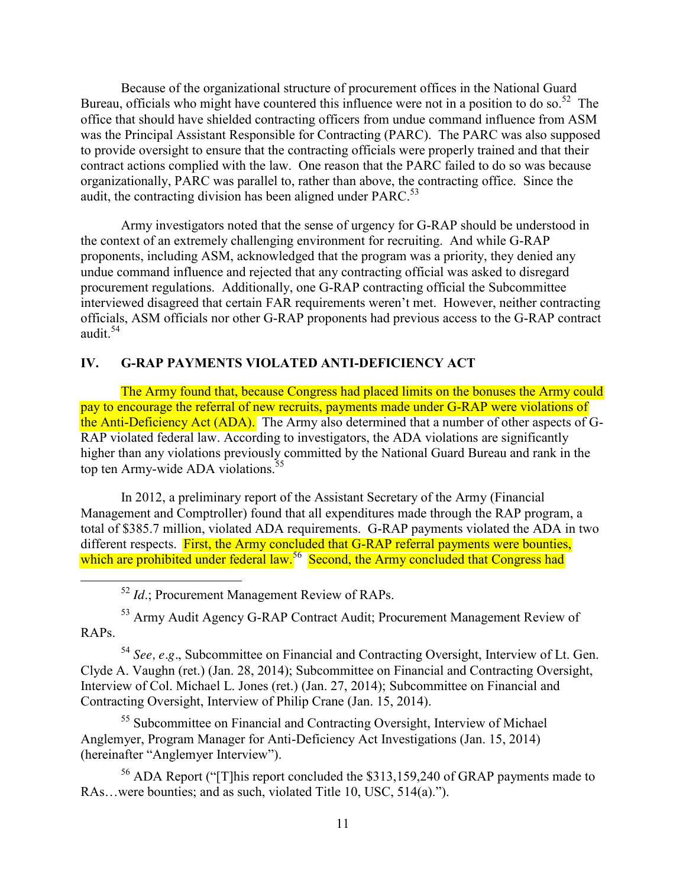Because of the organizational structure of procurement offices in the National Guard Bureau, officials who might have countered this influence were not in a position to do so.<sup>52</sup>The office that should have shielded contracting officers from undue command influence from ASM was the Principal Assistant Responsible for Contracting (PARC). The PARC was also supposed to provide oversight to ensure that the contracting officials were properly trained and that their contract actions complied with the law. One reason that the PARC failed to do so was because organizationally, PARC was parallel to, rather than above, the contracting office. Since the audit, the contracting division has been aligned under  $PARC<sup>53</sup>$ 

Army investigators noted that the sense of urgency for G-RAP should be understood in the context of an extremely challenging environment for recruiting. And while G-RAP proponents, including ASM, acknowledged that the program was a priority, they denied any undue command influence and rejected that any contracting official was asked to disregard procurement regulations. Additionally, one G-RAP contracting official the Subcommittee interviewed disagreed that certain FAR requirements weren't met. However, neither contracting officials, ASM officials nor other G-RAP proponents had previous access to the G-RAP contract audit. $54$ 

## **IV. G-RAP PAYMENTS VIOLATED ANTI-DEFICIENCY ACT**

The Army found that, because Congress had placed limits on the bonuses the Army could pay to encourage the referral of new recruits, payments made under G-RAP were violations of the Anti-Deficiency Act (ADA). The Army also determined that a number of other aspects of G-RAP violated federal law. According to investigators, the ADA violations are significantly higher than any violations previously committed by the National Guard Bureau and rank in the top ten Army-wide ADA violations.<sup>55</sup>

In 2012, a preliminary report of the Assistant Secretary of the Army (Financial Management and Comptroller) found that all expenditures made through the RAP program, a total of \$385.7 million, violated ADA requirements. G-RAP payments violated the ADA in two different respects. First, the Army concluded that G-RAP referral payments were bounties, which are prohibited under federal law.<sup>56</sup> Second, the Army concluded that Congress had

52 *Id*.; Procurement Management Review of RAPs.

<sup>53</sup> Army Audit Agency G-RAP Contract Audit; Procurement Management Review of RAPs.

<sup>54</sup> *See, e.g.*, Subcommittee on Financial and Contracting Oversight, Interview of Lt. Gen. Clyde A. Vaughn (ret.) (Jan. 28, 2014); Subcommittee on Financial and Contracting Oversight, Interview of Col. Michael L. Jones (ret.) (Jan. 27, 2014); Subcommittee on Financial and Contracting Oversight, Interview of Philip Crane (Jan. 15, 2014).

<sup>55</sup> Subcommittee on Financial and Contracting Oversight, Interview of Michael Anglemyer, Program Manager for Anti-Deficiency Act Investigations (Jan. 15, 2014) (hereinafter "Anglemyer Interview").

<sup>56</sup> ADA Report ("[T]his report concluded the \$313,159,240 of GRAP payments made to RAs…were bounties; and as such, violated Title 10, USC, 514(a).").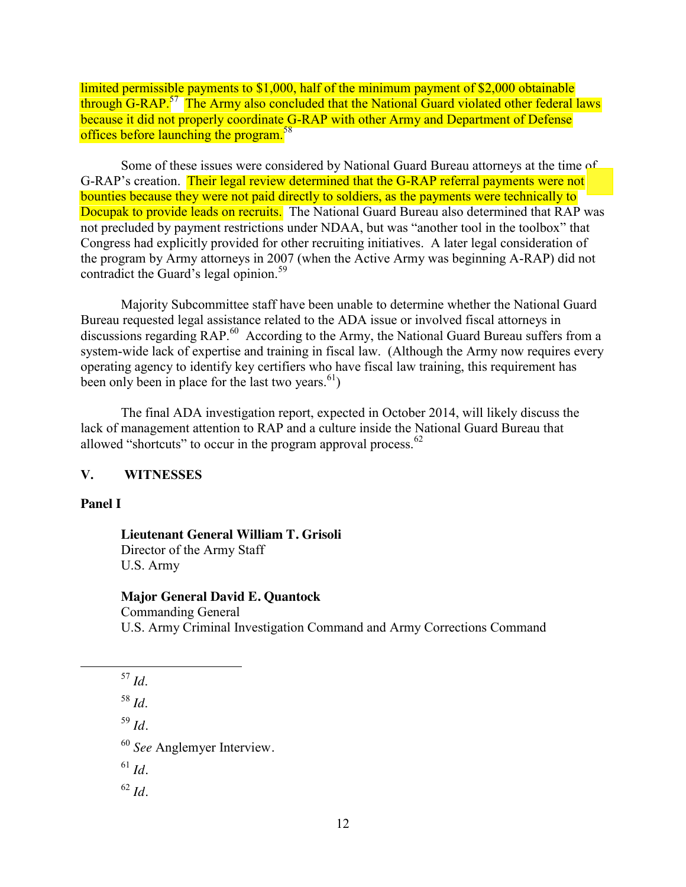limited permissible payments to \$1,000, half of the minimum payment of \$2,000 obtainable through G-RAP.<sup>57</sup> The Army also concluded that the National Guard violated other federal laws because it did not properly coordinate G-RAP with other Army and Department of Defense offices before launching the program.<sup>58</sup>

Some of these issues were considered by National Guard Bureau attorneys at the time of G-RAP's creation. Their legal review determined that the G-RAP referral payments were not bounties because they were not paid directly to soldiers, as the payments were technically to Docupak to provide leads on recruits. The National Guard Bureau also determined that RAP was not precluded by payment restrictions under NDAA, but was "another tool in the toolbox" that Congress had explicitly provided for other recruiting initiatives. A later legal consideration of the program by Army attorneys in 2007 (when the Active Army was beginning A-RAP) did not contradict the Guard's legal opinion.<sup>59</sup>

Majority Subcommittee staff have been unable to determine whether the National Guard Bureau requested legal assistance related to the ADA issue or involved fiscal attorneys in discussions regarding RAP.<sup>60</sup> According to the Army, the National Guard Bureau suffers from a system-wide lack of expertise and training in fiscal law. (Although the Army now requires every operating agency to identify key certifiers who have fiscal law training, this requirement has been only been in place for the last two years.  $b_1$ )

The final ADA investigation report, expected in October 2014, will likely discuss the lack of management attention to RAP and a culture inside the National Guard Bureau that allowed "shortcuts" to occur in the program approval process. $62$ 

#### **V. WITNESSES**

#### **Panel I**

#### **Lieutenant General William T. Grisoli** Director of the Army Staff

U.S. Army

#### **Major General David E. Quantock**

Commanding General U.S. Army Criminal Investigation Command and Army Corrections Command

<sup>58</sup> *Id*.

<sup>59</sup> *Id.* 

<sup>60</sup> *See* Anglemyer Interview*.* 

<sup>61</sup> *Id.*

<sup>62</sup> *Id.*

 <sup>57</sup> *Id*.